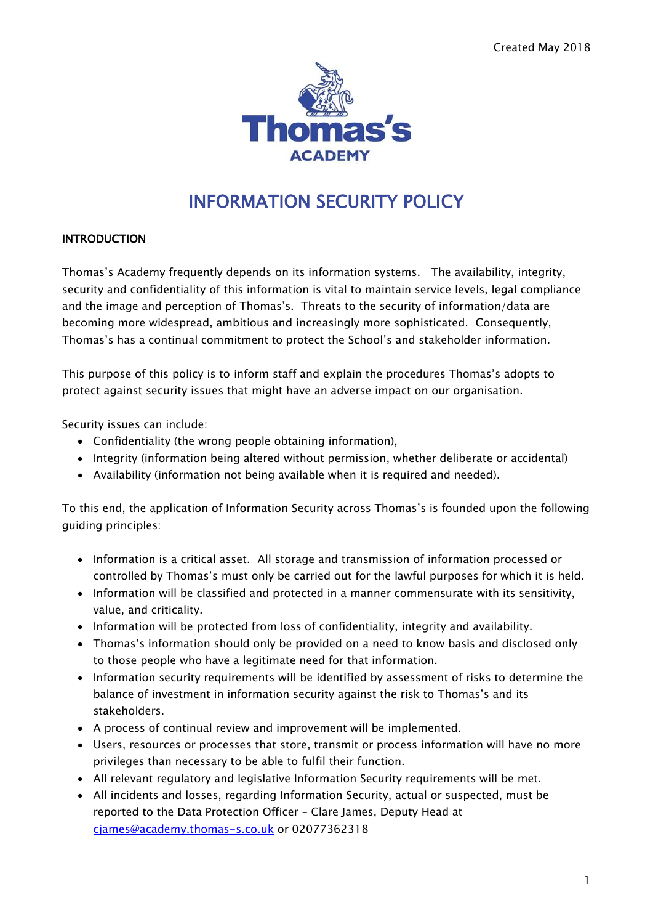

# INFORMATION SECURITY POLICY

#### INTRODUCTION

Thomas's Academy frequently depends on its information systems. The availability, integrity, security and confidentiality of this information is vital to maintain service levels, legal compliance and the image and perception of Thomas's. Threats to the security of information/data are becoming more widespread, ambitious and increasingly more sophisticated. Consequently, Thomas's has a continual commitment to protect the School's and stakeholder information.

This purpose of this policy is to inform staff and explain the procedures Thomas's adopts to protect against security issues that might have an adverse impact on our organisation.

Security issues can include:

- Confidentiality (the wrong people obtaining information),
- Integrity (information being altered without permission, whether deliberate or accidental)
- Availability (information not being available when it is required and needed).

To this end, the application of Information Security across Thomas's is founded upon the following guiding principles:

- Information is a critical asset. All storage and transmission of information processed or controlled by Thomas's must only be carried out for the lawful purposes for which it is held.
- Information will be classified and protected in a manner commensurate with its sensitivity, value, and criticality.
- Information will be protected from loss of confidentiality, integrity and availability.
- Thomas's information should only be provided on a need to know basis and disclosed only to those people who have a legitimate need for that information.
- Information security requirements will be identified by assessment of risks to determine the balance of investment in information security against the risk to Thomas's and its stakeholders.
- A process of continual review and improvement will be implemented.
- Users, resources or processes that store, transmit or process information will have no more privileges than necessary to be able to fulfil their function.
- All relevant regulatory and legislative Information Security requirements will be met.
- All incidents and losses, regarding Information Security, actual or suspected, must be reported to the Data Protection Officer – Clare James, Deputy Head at [cjames@academy.thomas-s.co.uk](mailto:cjames@academy.thomas-s.co.uk) or 02077362318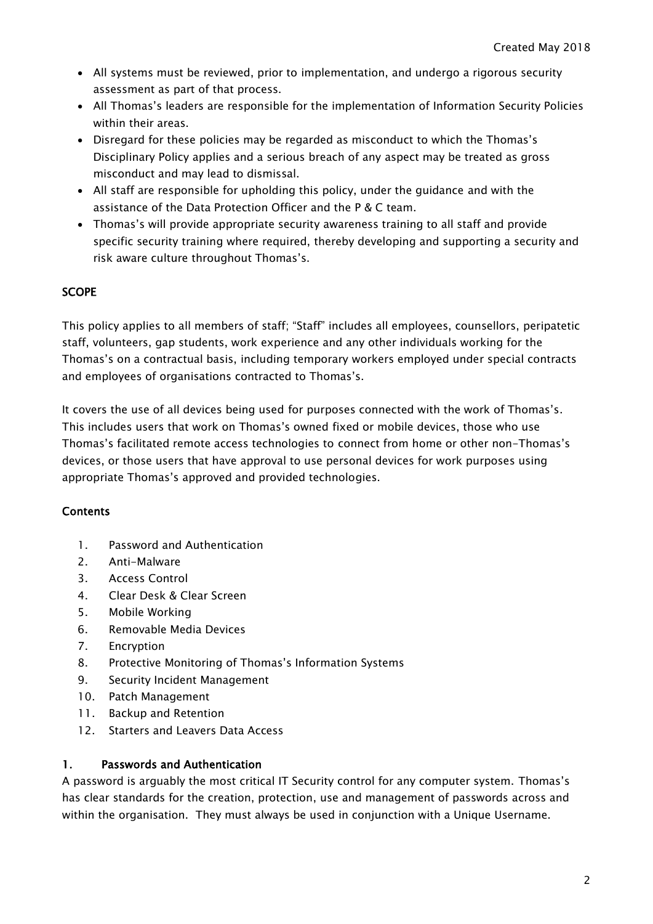- All systems must be reviewed, prior to implementation, and undergo a rigorous security assessment as part of that process.
- All Thomas's leaders are responsible for the implementation of Information Security Policies within their areas.
- Disregard for these policies may be regarded as misconduct to which the Thomas's Disciplinary Policy applies and a serious breach of any aspect may be treated as gross misconduct and may lead to dismissal.
- All staff are responsible for upholding this policy, under the guidance and with the assistance of the Data Protection Officer and the P & C team.
- Thomas's will provide appropriate security awareness training to all staff and provide specific security training where required, thereby developing and supporting a security and risk aware culture throughout Thomas's.

## **SCOPE**

This policy applies to all members of staff; "Staff" includes all employees, counsellors, peripatetic staff, volunteers, gap students, work experience and any other individuals working for the Thomas's on a contractual basis, including temporary workers employed under special contracts and employees of organisations contracted to Thomas's.

It covers the use of all devices being used for purposes connected with the work of Thomas's. This includes users that work on Thomas's owned fixed or mobile devices, those who use Thomas's facilitated remote access technologies to connect from home or other non-Thomas's devices, or those users that have approval to use personal devices for work purposes using appropriate Thomas's approved and provided technologies.

#### **Contents**

- 1. Password and Authentication
- 2. Anti-Malware
- 3. Access Control
- 4. Clear Desk & Clear Screen
- 5. Mobile Working
- 6. Removable Media Devices
- 7. Encryption
- 8. Protective Monitoring of Thomas's Information Systems
- 9. Security Incident Management
- 10. Patch Management
- 11. Backup and Retention
- 12. Starters and Leavers Data Access

#### 1. Passwords and Authentication

A password is arguably the most critical IT Security control for any computer system. Thomas's has clear standards for the creation, protection, use and management of passwords across and within the organisation. They must always be used in conjunction with a Unique Username.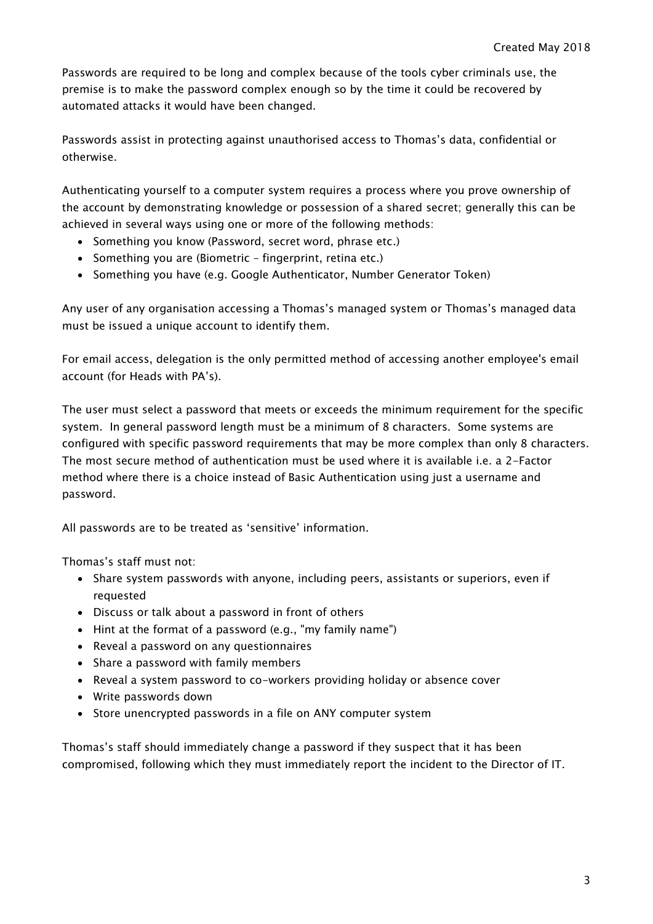Passwords are required to be long and complex because of the tools cyber criminals use, the premise is to make the password complex enough so by the time it could be recovered by automated attacks it would have been changed.

Passwords assist in protecting against unauthorised access to Thomas's data, confidential or otherwise.

Authenticating yourself to a computer system requires a process where you prove ownership of the account by demonstrating knowledge or possession of a shared secret; generally this can be achieved in several ways using one or more of the following methods:

- Something you know (Password, secret word, phrase etc.)
- Something you are (Biometric fingerprint, retina etc.)
- Something you have (e.g. Google Authenticator, Number Generator Token)

Any user of any organisation accessing a Thomas's managed system or Thomas's managed data must be issued a unique account to identify them.

For email access, delegation is the only permitted method of accessing another employee's email account (for Heads with PA's).

The user must select a password that meets or exceeds the minimum requirement for the specific system. In general password length must be a minimum of 8 characters. Some systems are configured with specific password requirements that may be more complex than only 8 characters. The most secure method of authentication must be used where it is available i.e. a 2-Factor method where there is a choice instead of Basic Authentication using just a username and password.

All passwords are to be treated as 'sensitive' information.

Thomas's staff must not:

- Share system passwords with anyone, including peers, assistants or superiors, even if requested
- Discuss or talk about a password in front of others
- Hint at the format of a password (e.g., "my family name")
- Reveal a password on any questionnaires
- Share a password with family members
- Reveal a system password to co-workers providing holiday or absence cover
- Write passwords down
- Store unencrypted passwords in a file on ANY computer system

Thomas's staff should immediately change a password if they suspect that it has been compromised, following which they must immediately report the incident to the Director of IT.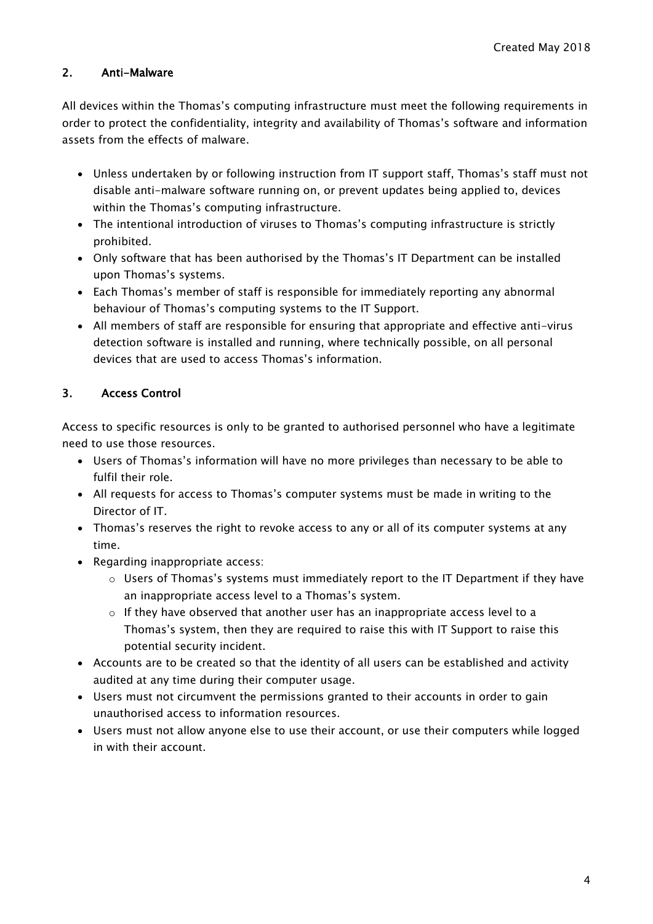## 2. Anti-Malware

All devices within the Thomas's computing infrastructure must meet the following requirements in order to protect the confidentiality, integrity and availability of Thomas's software and information assets from the effects of malware.

- Unless undertaken by or following instruction from IT support staff, Thomas's staff must not disable anti-malware software running on, or prevent updates being applied to, devices within the Thomas's computing infrastructure.
- The intentional introduction of viruses to Thomas's computing infrastructure is strictly prohibited.
- Only software that has been authorised by the Thomas's IT Department can be installed upon Thomas's systems.
- Each Thomas's member of staff is responsible for immediately reporting any abnormal behaviour of Thomas's computing systems to the IT Support.
- All members of staff are responsible for ensuring that appropriate and effective anti-virus detection software is installed and running, where technically possible, on all personal devices that are used to access Thomas's information.

## 3. Access Control

Access to specific resources is only to be granted to authorised personnel who have a legitimate need to use those resources.

- Users of Thomas's information will have no more privileges than necessary to be able to fulfil their role.
- All requests for access to Thomas's computer systems must be made in writing to the Director of IT.
- Thomas's reserves the right to revoke access to any or all of its computer systems at any time.
- Regarding inappropriate access:
	- $\circ$  Users of Thomas's systems must immediately report to the IT Department if they have an inappropriate access level to a Thomas's system.
	- $\circ$  If they have observed that another user has an inappropriate access level to a Thomas's system, then they are required to raise this with IT Support to raise this potential security incident.
- Accounts are to be created so that the identity of all users can be established and activity audited at any time during their computer usage.
- Users must not circumvent the permissions granted to their accounts in order to gain unauthorised access to information resources.
- Users must not allow anyone else to use their account, or use their computers while logged in with their account.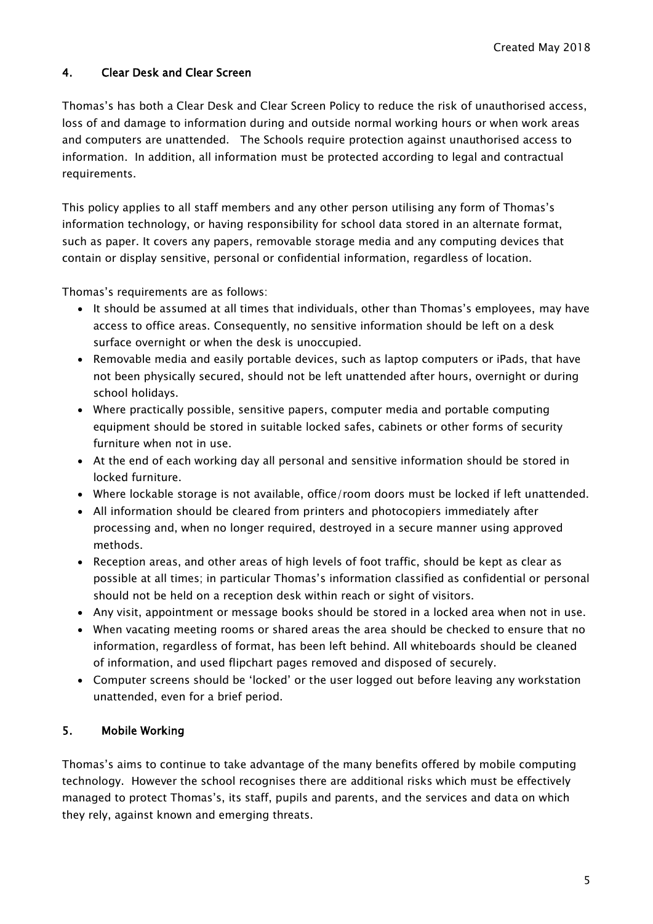## 4. Clear Desk and Clear Screen

Thomas's has both a Clear Desk and Clear Screen Policy to reduce the risk of unauthorised access, loss of and damage to information during and outside normal working hours or when work areas and computers are unattended. The Schools require protection against unauthorised access to information. In addition, all information must be protected according to legal and contractual requirements.

This policy applies to all staff members and any other person utilising any form of Thomas's information technology, or having responsibility for school data stored in an alternate format, such as paper. It covers any papers, removable storage media and any computing devices that contain or display sensitive, personal or confidential information, regardless of location.

Thomas's requirements are as follows:

- It should be assumed at all times that individuals, other than Thomas's employees, may have access to office areas. Consequently, no sensitive information should be left on a desk surface overnight or when the desk is unoccupied.
- Removable media and easily portable devices, such as laptop computers or iPads, that have not been physically secured, should not be left unattended after hours, overnight or during school holidays.
- Where practically possible, sensitive papers, computer media and portable computing equipment should be stored in suitable locked safes, cabinets or other forms of security furniture when not in use.
- At the end of each working day all personal and sensitive information should be stored in locked furniture.
- Where lockable storage is not available, office/room doors must be locked if left unattended.
- All information should be cleared from printers and photocopiers immediately after processing and, when no longer required, destroyed in a secure manner using approved methods.
- Reception areas, and other areas of high levels of foot traffic, should be kept as clear as possible at all times; in particular Thomas's information classified as confidential or personal should not be held on a reception desk within reach or sight of visitors.
- Any visit, appointment or message books should be stored in a locked area when not in use.
- When vacating meeting rooms or shared areas the area should be checked to ensure that no information, regardless of format, has been left behind. All whiteboards should be cleaned of information, and used flipchart pages removed and disposed of securely.
- Computer screens should be 'locked' or the user logged out before leaving any workstation unattended, even for a brief period.

#### 5. Mobile Working

Thomas's aims to continue to take advantage of the many benefits offered by mobile computing technology. However the school recognises there are additional risks which must be effectively managed to protect Thomas's, its staff, pupils and parents, and the services and data on which they rely, against known and emerging threats.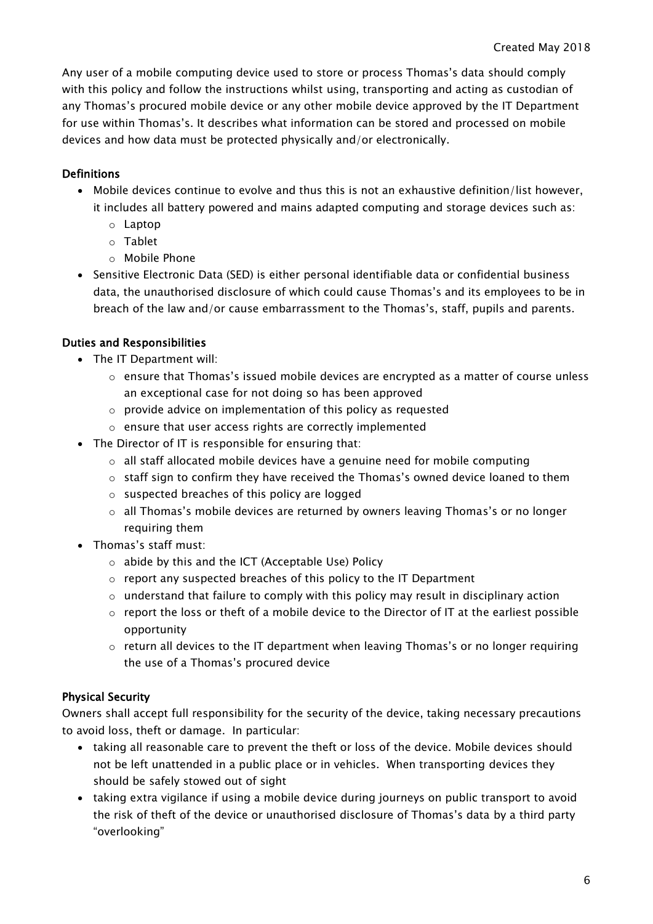Any user of a mobile computing device used to store or process Thomas's data should comply with this policy and follow the instructions whilst using, transporting and acting as custodian of any Thomas's procured mobile device or any other mobile device approved by the IT Department for use within Thomas's. It describes what information can be stored and processed on mobile devices and how data must be protected physically and/or electronically.

#### Definitions

- Mobile devices continue to evolve and thus this is not an exhaustive definition/list however, it includes all battery powered and mains adapted computing and storage devices such as:
	- o Laptop
	- o Tablet
	- o Mobile Phone
- Sensitive Electronic Data (SED) is either personal identifiable data or confidential business data, the unauthorised disclosure of which could cause Thomas's and its employees to be in breach of the law and/or cause embarrassment to the Thomas's, staff, pupils and parents.

#### Duties and Responsibilities

- The IT Department will:
	- $\circ$  ensure that Thomas's issued mobile devices are encrypted as a matter of course unless an exceptional case for not doing so has been approved
	- o provide advice on implementation of this policy as requested
	- o ensure that user access rights are correctly implemented
- The Director of IT is responsible for ensuring that:
	- o all staff allocated mobile devices have a genuine need for mobile computing
	- $\circ$  staff sign to confirm they have received the Thomas's owned device loaned to them
	- o suspected breaches of this policy are logged
	- $\circ$  all Thomas's mobile devices are returned by owners leaving Thomas's or no longer requiring them
- Thomas's staff must:
	- o abide by this and the ICT (Acceptable Use) Policy
	- $\circ$  report any suspected breaches of this policy to the IT Department
	- $\circ$  understand that failure to comply with this policy may result in disciplinary action
	- $\circ$  report the loss or theft of a mobile device to the Director of IT at the earliest possible opportunity
	- $\circ$  return all devices to the IT department when leaving Thomas's or no longer requiring the use of a Thomas's procured device

#### Physical Security

Owners shall accept full responsibility for the security of the device, taking necessary precautions to avoid loss, theft or damage. In particular:

- taking all reasonable care to prevent the theft or loss of the device. Mobile devices should not be left unattended in a public place or in vehicles. When transporting devices they should be safely stowed out of sight
- taking extra vigilance if using a mobile device during journeys on public transport to avoid the risk of theft of the device or unauthorised disclosure of Thomas's data by a third party "overlooking"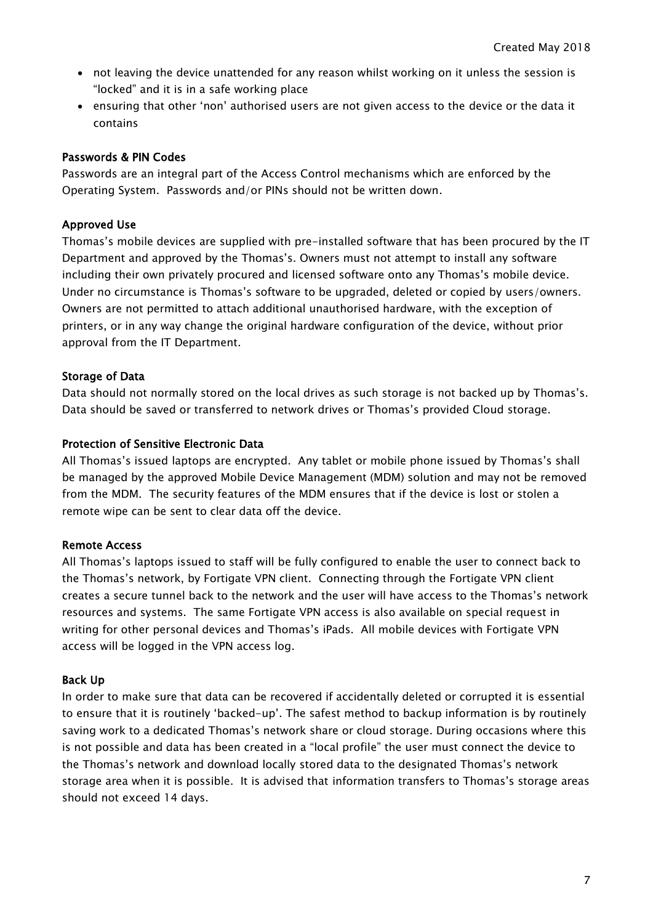- not leaving the device unattended for any reason whilst working on it unless the session is "locked" and it is in a safe working place
- ensuring that other 'non' authorised users are not given access to the device or the data it contains

#### Passwords & PIN Codes

Passwords are an integral part of the Access Control mechanisms which are enforced by the Operating System. Passwords and/or PINs should not be written down.

#### Approved Use

Thomas's mobile devices are supplied with pre-installed software that has been procured by the IT Department and approved by the Thomas's. Owners must not attempt to install any software including their own privately procured and licensed software onto any Thomas's mobile device. Under no circumstance is Thomas's software to be upgraded, deleted or copied by users/owners. Owners are not permitted to attach additional unauthorised hardware, with the exception of printers, or in any way change the original hardware configuration of the device, without prior approval from the IT Department.

#### Storage of Data

Data should not normally stored on the local drives as such storage is not backed up by Thomas's. Data should be saved or transferred to network drives or Thomas's provided Cloud storage.

#### Protection of Sensitive Electronic Data

All Thomas's issued laptops are encrypted. Any tablet or mobile phone issued by Thomas's shall be managed by the approved Mobile Device Management (MDM) solution and may not be removed from the MDM. The security features of the MDM ensures that if the device is lost or stolen a remote wipe can be sent to clear data off the device.

#### Remote Access

All Thomas's laptops issued to staff will be fully configured to enable the user to connect back to the Thomas's network, by Fortigate VPN client. Connecting through the Fortigate VPN client creates a secure tunnel back to the network and the user will have access to the Thomas's network resources and systems. The same Fortigate VPN access is also available on special request in writing for other personal devices and Thomas's iPads. All mobile devices with Fortigate VPN access will be logged in the VPN access log.

#### Back Up

In order to make sure that data can be recovered if accidentally deleted or corrupted it is essential to ensure that it is routinely 'backed-up'. The safest method to backup information is by routinely saving work to a dedicated Thomas's network share or cloud storage. During occasions where this is not possible and data has been created in a "local profile" the user must connect the device to the Thomas's network and download locally stored data to the designated Thomas's network storage area when it is possible. It is advised that information transfers to Thomas's storage areas should not exceed 14 days.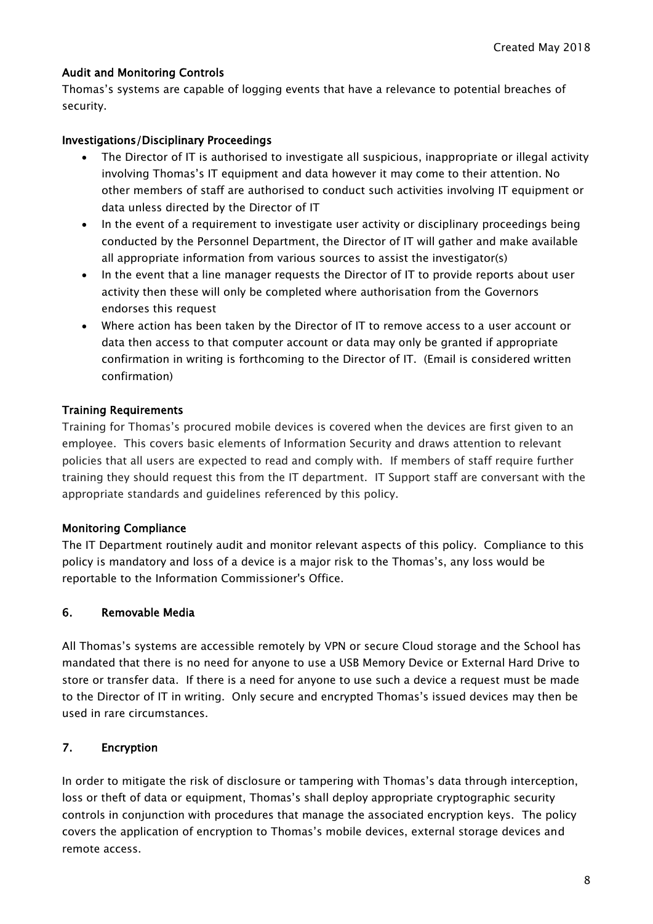#### Audit and Monitoring Controls

Thomas's systems are capable of logging events that have a relevance to potential breaches of security.

#### Investigations/Disciplinary Proceedings

- The Director of IT is authorised to investigate all suspicious, inappropriate or illegal activity involving Thomas's IT equipment and data however it may come to their attention. No other members of staff are authorised to conduct such activities involving IT equipment or data unless directed by the Director of IT
- In the event of a requirement to investigate user activity or disciplinary proceedings being conducted by the Personnel Department, the Director of IT will gather and make available all appropriate information from various sources to assist the investigator(s)
- In the event that a line manager requests the Director of IT to provide reports about user activity then these will only be completed where authorisation from the Governors endorses this request
- Where action has been taken by the Director of IT to remove access to a user account or data then access to that computer account or data may only be granted if appropriate confirmation in writing is forthcoming to the Director of IT. (Email is considered written confirmation)

#### Training Requirements

Training for Thomas's procured mobile devices is covered when the devices are first given to an employee. This covers basic elements of Information Security and draws attention to relevant policies that all users are expected to read and comply with. If members of staff require further training they should request this from the IT department. IT Support staff are conversant with the appropriate standards and guidelines referenced by this policy.

#### Monitoring Compliance

The IT Department routinely audit and monitor relevant aspects of this policy. Compliance to this policy is mandatory and loss of a device is a major risk to the Thomas's, any loss would be reportable to the Information Commissioner's Office.

#### 6. Removable Media

All Thomas's systems are accessible remotely by VPN or secure Cloud storage and the School has mandated that there is no need for anyone to use a USB Memory Device or External Hard Drive to store or transfer data. If there is a need for anyone to use such a device a request must be made to the Director of IT in writing. Only secure and encrypted Thomas's issued devices may then be used in rare circumstances.

#### 7. Encryption

In order to mitigate the risk of disclosure or tampering with Thomas's data through interception, loss or theft of data or equipment, Thomas's shall deploy appropriate cryptographic security controls in conjunction with procedures that manage the associated encryption keys. The policy covers the application of encryption to Thomas's mobile devices, external storage devices and remote access.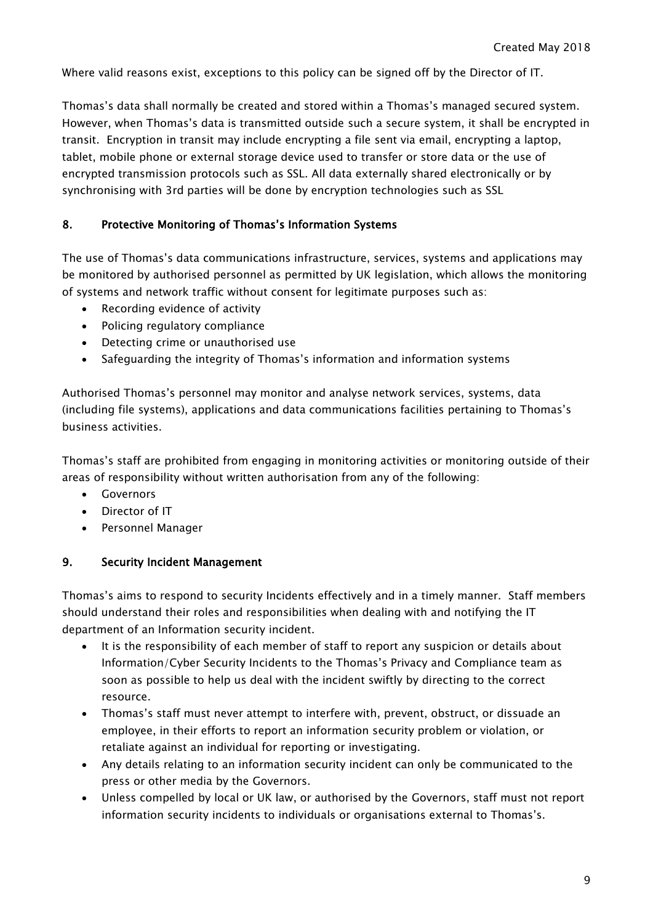Where valid reasons exist, exceptions to this policy can be signed off by the Director of IT.

Thomas's data shall normally be created and stored within a Thomas's managed secured system. However, when Thomas's data is transmitted outside such a secure system, it shall be encrypted in transit. Encryption in transit may include encrypting a file sent via email, encrypting a laptop, tablet, mobile phone or external storage device used to transfer or store data or the use of encrypted transmission protocols such as SSL. All data externally shared electronically or by synchronising with 3rd parties will be done by encryption technologies such as SSL

## 8. Protective Monitoring of Thomas's Information Systems

The use of Thomas's data communications infrastructure, services, systems and applications may be monitored by authorised personnel as permitted by UK legislation, which allows the monitoring of systems and network traffic without consent for legitimate purposes such as:

- Recording evidence of activity
- Policing regulatory compliance
- Detecting crime or unauthorised use
- Safeguarding the integrity of Thomas's information and information systems

Authorised Thomas's personnel may monitor and analyse network services, systems, data (including file systems), applications and data communications facilities pertaining to Thomas's business activities.

Thomas's staff are prohibited from engaging in monitoring activities or monitoring outside of their areas of responsibility without written authorisation from any of the following:

- Governors
- Director of IT
- Personnel Manager

#### 9. Security Incident Management

Thomas's aims to respond to security Incidents effectively and in a timely manner. Staff members should understand their roles and responsibilities when dealing with and notifying the IT department of an Information security incident.

- It is the responsibility of each member of staff to report any suspicion or details about Information/Cyber Security Incidents to the Thomas's Privacy and Compliance team as soon as possible to help us deal with the incident swiftly by directing to the correct resource.
- Thomas's staff must never attempt to interfere with, prevent, obstruct, or dissuade an employee, in their efforts to report an information security problem or violation, or retaliate against an individual for reporting or investigating.
- Any details relating to an information security incident can only be communicated to the press or other media by the Governors.
- Unless compelled by local or UK law, or authorised by the Governors, staff must not report information security incidents to individuals or organisations external to Thomas's.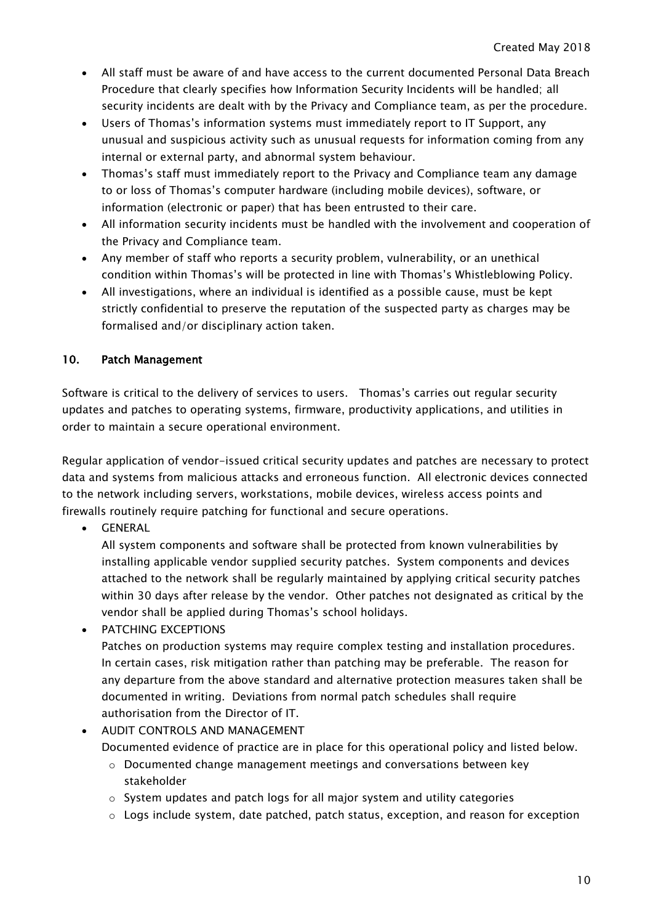- All staff must be aware of and have access to the current documented Personal Data Breach Procedure that clearly specifies how Information Security Incidents will be handled; all security incidents are dealt with by the Privacy and Compliance team, as per the procedure.
- Users of Thomas's information systems must immediately report to IT Support, any unusual and suspicious activity such as unusual requests for information coming from any internal or external party, and abnormal system behaviour.
- Thomas's staff must immediately report to the Privacy and Compliance team any damage to or loss of Thomas's computer hardware (including mobile devices), software, or information (electronic or paper) that has been entrusted to their care.
- All information security incidents must be handled with the involvement and cooperation of the Privacy and Compliance team.
- Any member of staff who reports a security problem, vulnerability, or an unethical condition within Thomas's will be protected in line with Thomas's Whistleblowing Policy.
- All investigations, where an individual is identified as a possible cause, must be kept strictly confidential to preserve the reputation of the suspected party as charges may be formalised and/or disciplinary action taken.

## 10. Patch Management

Software is critical to the delivery of services to users. Thomas's carries out regular security updates and patches to operating systems, firmware, productivity applications, and utilities in order to maintain a secure operational environment.

Regular application of vendor-issued critical security updates and patches are necessary to protect data and systems from malicious attacks and erroneous function. All electronic devices connected to the network including servers, workstations, mobile devices, wireless access points and firewalls routinely require patching for functional and secure operations.

GENERAL

All system components and software shall be protected from known vulnerabilities by installing applicable vendor supplied security patches. System components and devices attached to the network shall be regularly maintained by applying critical security patches within 30 days after release by the vendor. Other patches not designated as critical by the vendor shall be applied during Thomas's school holidays.

- **PATCHING EXCEPTIONS** Patches on production systems may require complex testing and installation procedures. In certain cases, risk mitigation rather than patching may be preferable. The reason for any departure from the above standard and alternative protection measures taken shall be documented in writing. Deviations from normal patch schedules shall require authorisation from the Director of IT.
- AUDIT CONTROLS AND MANAGEMENT
	- Documented evidence of practice are in place for this operational policy and listed below.
		- $\circ$  Documented change management meetings and conversations between key stakeholder
		- $\circ$  System updates and patch logs for all major system and utility categories
		- $\circ$  Logs include system, date patched, patch status, exception, and reason for exception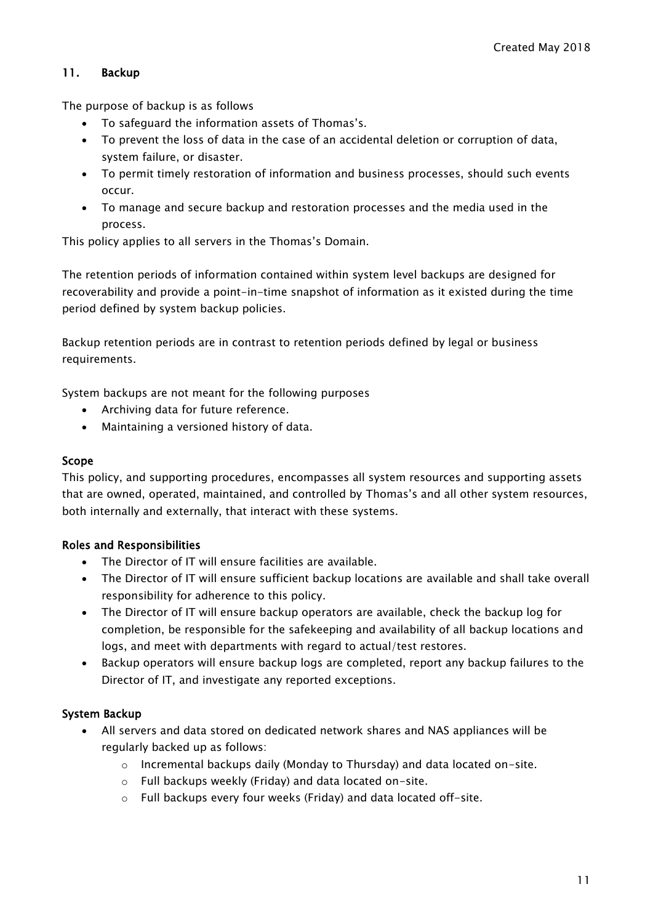#### 11. Backup

The purpose of backup is as follows

- To safeguard the information assets of Thomas's.
- To prevent the loss of data in the case of an accidental deletion or corruption of data, system failure, or disaster.
- To permit timely restoration of information and business processes, should such events occur.
- To manage and secure backup and restoration processes and the media used in the process.

This policy applies to all servers in the Thomas's Domain.

The retention periods of information contained within system level backups are designed for recoverability and provide a point-in-time snapshot of information as it existed during the time period defined by system backup policies.

Backup retention periods are in contrast to retention periods defined by legal or business requirements.

System backups are not meant for the following purposes

- Archiving data for future reference.
- Maintaining a versioned history of data.

#### Scope

This policy, and supporting procedures, encompasses all system resources and supporting assets that are owned, operated, maintained, and controlled by Thomas's and all other system resources, both internally and externally, that interact with these systems.

#### Roles and Responsibilities

- The Director of IT will ensure facilities are available.
- The Director of IT will ensure sufficient backup locations are available and shall take overall responsibility for adherence to this policy.
- The Director of IT will ensure backup operators are available, check the backup log for completion, be responsible for the safekeeping and availability of all backup locations and logs, and meet with departments with regard to actual/test restores.
- Backup operators will ensure backup logs are completed, report any backup failures to the Director of IT, and investigate any reported exceptions.

#### System Backup

- All servers and data stored on dedicated network shares and NAS appliances will be regularly backed up as follows:
	- $\circ$  Incremental backups daily (Monday to Thursday) and data located on-site.
	- o Full backups weekly (Friday) and data located on-site.
	- o Full backups every four weeks (Friday) and data located off-site.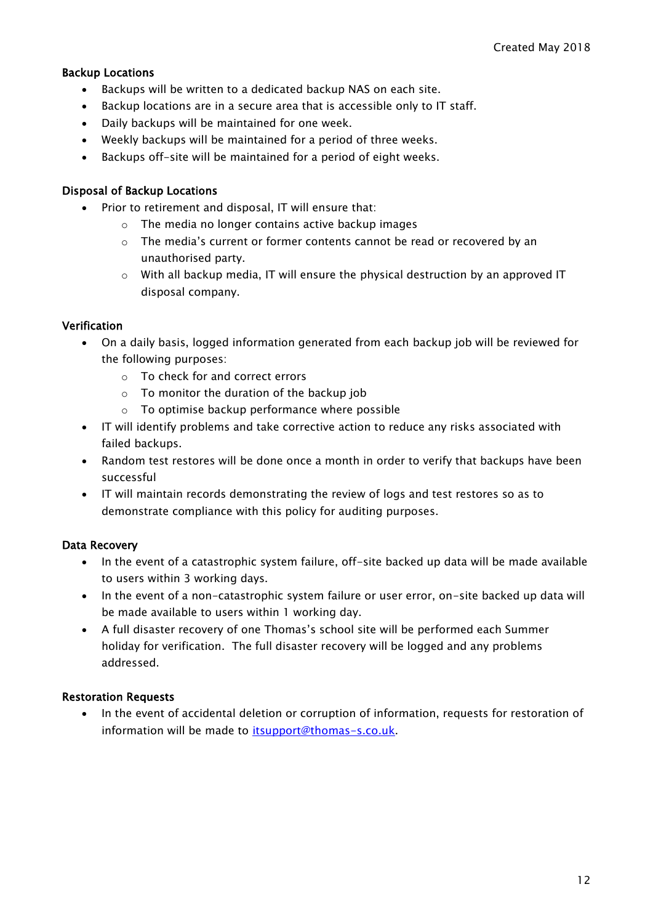#### Backup Locations

- Backups will be written to a dedicated backup NAS on each site.
- Backup locations are in a secure area that is accessible only to IT staff.
- Daily backups will be maintained for one week.
- Weekly backups will be maintained for a period of three weeks.
- Backups off-site will be maintained for a period of eight weeks.

#### Disposal of Backup Locations

- Prior to retirement and disposal, IT will ensure that:
	- o The media no longer contains active backup images
	- $\circ$  The media's current or former contents cannot be read or recovered by an unauthorised party.
	- $\circ$  With all backup media, IT will ensure the physical destruction by an approved IT disposal company.

#### **Verification**

- On a daily basis, logged information generated from each backup job will be reviewed for the following purposes:
	- o To check for and correct errors
	- $\circ$  To monitor the duration of the backup job
	- o To optimise backup performance where possible
- IT will identify problems and take corrective action to reduce any risks associated with failed backups.
- Random test restores will be done once a month in order to verify that backups have been successful
- IT will maintain records demonstrating the review of logs and test restores so as to demonstrate compliance with this policy for auditing purposes.

#### Data Recovery

- In the event of a catastrophic system failure, off-site backed up data will be made available to users within 3 working days.
- In the event of a non-catastrophic system failure or user error, on-site backed up data will be made available to users within 1 working day.
- A full disaster recovery of one Thomas's school site will be performed each Summer holiday for verification. The full disaster recovery will be logged and any problems addressed.

#### Restoration Requests

• In the event of accidental deletion or corruption of information, requests for restoration of information will be made to [itsupport@thomas-s.co.uk.](mailto:itsupport@thomas-s.co.uk)